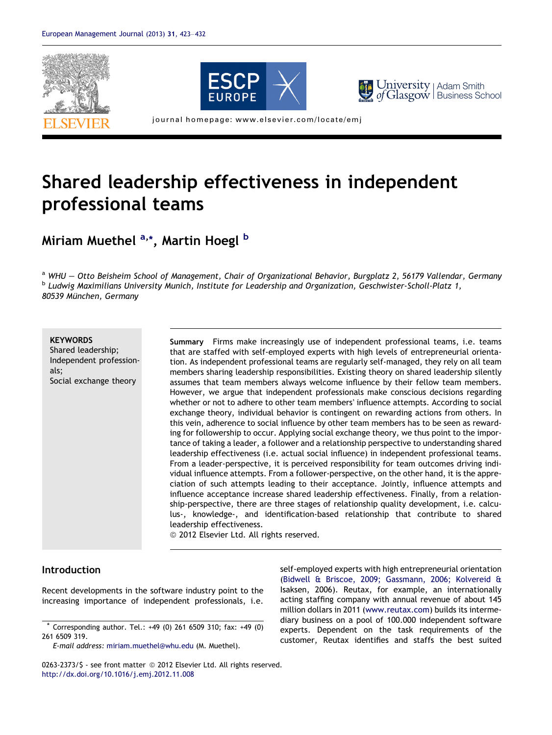





 $of \text{Glasgov}$  Business School University | Adam Smith

journal homepage: www.elsevier.com/locate/emj

## Shared leadership effectiveness in independent professional teams

Miriam Muethel <sup>a,</sup>\*, Martin Hoegl <sup>b</sup>

a WHU - Otto Beisheim School of Management, Chair of Organizational Behavior, Burgplatz 2, 56179 Vallendar, Germany b Ludwig Maximilians University Munich, Institute for Leadership and Organization, Geschwister-Scholl-Platz 1, 80539 München, Germany

## **KEYWORDS**

Shared leadership; Independent professionals; Social exchange theory

Summary Firms make increasingly use of independent professional teams, i.e. teams that are staffed with self-employed experts with high levels of entrepreneurial orientation. As independent professional teams are regularly self-managed, they rely on all team members sharing leadership responsibilities. Existing theory on shared leadership silently assumes that team members always welcome influence by their fellow team members. However, we argue that independent professionals make conscious decisions regarding whether or not to adhere to other team members' influence attempts. According to social exchange theory, individual behavior is contingent on rewarding actions from others. In this vein, adherence to social influence by other team members has to be seen as rewarding for followership to occur. Applying social exchange theory, we thus point to the importance of taking a leader, a follower and a relationship perspective to understanding shared leadership effectiveness (i.e. actual social influence) in independent professional teams. From a leader-perspective, it is perceived responsibility for team outcomes driving individual influence attempts. From a follower-perspective, on the other hand, it is the appreciation of such attempts leading to their acceptance. Jointly, influence attempts and influence acceptance increase shared leadership effectiveness. Finally, from a relationship-perspective, there are three stages of relationship quality development, i.e. calculus-, knowledge-, and identification-based relationship that contribute to shared leadership effectiveness.

<sup>©</sup> 2012 Elsevier Ltd. All rights reserved.

## Introduction

Recent developments in the software industry point to the increasing importance of independent professionals, i.e.

E-mail address: [miriam.muethel@whu.edu](mailto:miriam.muethel@whu.edu) (M. Muethel).

self-employed experts with high entrepreneurial orientation ([Bidwell & Briscoe, 2009; Gassmann, 2006; Kolvereid &](#page--1-0) [Isaksen, 2006\)](#page--1-0). Reutax, for example, an internationally acting staffing company with annual revenue of about 145 million dollars in 2011 ([www.reutax.com\)](http://www.reutax.com) builds its intermediary business on a pool of 100.000 independent software experts. Dependent on the task requirements of the customer, Reutax identifies and staffs the best suited

<sup>\*</sup> Corresponding author. Tel.: +49 (0) 261 6509 310; fax: +49 (0) 261 6509 319.

<sup>0263-2373/\$ -</sup> see front matter © 2012 Elsevier Ltd. All rights reserved. <http://dx.doi.org/10.1016/j.emj.2012.11.008>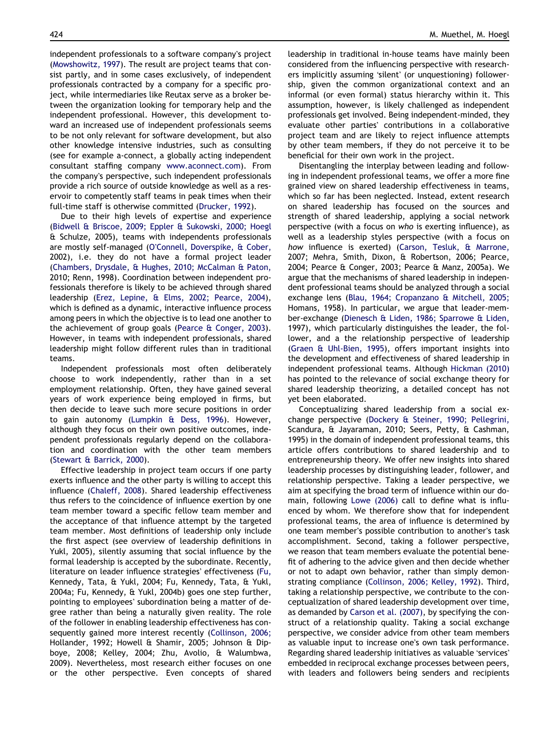independent professionals to a software company's project [\(Mowshowitz, 1997\)](#page--1-0). The result are project teams that consist partly, and in some cases exclusively, of independent professionals contracted by a company for a specific project, while intermediaries like Reutax serve as a broker between the organization looking for temporary help and the independent professional. However, this development toward an increased use of independent professionals seems to be not only relevant for software development, but also other knowledge intensive industries, such as consulting (see for example a-connect, a globally acting independent consultant staffing company [www.aconnect.com\)](http://www.aconnect.com). From the company's perspective, such independent professionals provide a rich source of outside knowledge as well as a reservoir to competently staff teams in peak times when their full-time staff is otherwise committed ([Drucker, 1992\)](#page--1-0).

Due to their high levels of expertise and experience [\(Bidwell & Briscoe, 2009; Eppler & Sukowski, 2000; Hoegl](#page--1-0) [& Schulze, 2005](#page--1-0)), teams with independents professionals are mostly self-managed (O'[Connell, Doverspike, & Cober,](#page--1-0) [2002](#page--1-0)), i.e. they do not have a formal project leader [\(Chambers, Drysdale, & Hughes, 2010; McCalman & Paton,](#page--1-0) [2010; Renn, 1998\)](#page--1-0). Coordination between independent professionals therefore is likely to be achieved through shared leadership ([Erez, Lepine, & Elms, 2002; Pearce, 2004](#page--1-0)), which is defined as a dynamic, interactive influence process among peers in which the objective is to lead one another to the achievement of group goals ([Pearce & Conger, 2003](#page--1-0)). However, in teams with independent professionals, shared leadership might follow different rules than in traditional teams.

Independent professionals most often deliberately choose to work independently, rather than in a set employment relationship. Often, they have gained several years of work experience being employed in firms, but then decide to leave such more secure positions in order to gain autonomy ([Lumpkin & Dess, 1996](#page--1-0)). However, although they focus on their own positive outcomes, independent professionals regularly depend on the collaboration and coordination with the other team members [\(Stewart & Barrick, 2000](#page--1-0)).

Effective leadership in project team occurs if one party exerts influence and the other party is willing to accept this influence ([Chaleff, 2008\)](#page--1-0). Shared leadership effectiveness thus refers to the coincidence of influence exertion by one team member toward a specific fellow team member and the acceptance of that influence attempt by the targeted team member. Most definitions of leadership only include the first aspect (see overview of leadership definitions in [Yukl, 2005\)](#page--1-0), silently assuming that social influence by the formal leadership is accepted by the subordinate. Recently, literature on leader influence strategies' effectiveness [\(Fu,](#page--1-0) [Kennedy, Tata, & Yukl, 2004; Fu, Kennedy, Tata, & Yukl,](#page--1-0) [2004a; Fu, Kennedy, & Yukl, 2004b](#page--1-0)) goes one step further, pointing to employees' subordination being a matter of degree rather than being a naturally given reality. The role of the follower in enabling leadership effectiveness has consequently gained more interest recently [\(Collinson, 2006;](#page--1-0) [Hollander, 1992; Howell & Shamir, 2005; Johnson & Dip](#page--1-0)[boye, 2008; Kelley, 2004; Zhu, Avolio, & Walumbwa,](#page--1-0) [2009](#page--1-0)). Nevertheless, most research either focuses on one or the other perspective. Even concepts of shared

leadership in traditional in-house teams have mainly been considered from the influencing perspective with researchers implicitly assuming 'silent' (or unquestioning) followership, given the common organizational context and an informal (or even formal) status hierarchy within it. This assumption, however, is likely challenged as independent professionals get involved. Being independent-minded, they evaluate other parties' contributions in a collaborative project team and are likely to reject influence attempts by other team members, if they do not perceive it to be beneficial for their own work in the project.

Disentangling the interplay between leading and following in independent professional teams, we offer a more fine grained view on shared leadership effectiveness in teams, which so far has been neglected. Instead, extent research on shared leadership has focused on the sources and strength of shared leadership, applying a social network perspective (with a focus on who is exerting influence), as well as a leadership styles perspective (with a focus on how influence is exerted) [\(Carson, Tesluk, & Marrone,](#page--1-0) [2007; Mehra, Smith, Dixon, & Robertson, 2006; Pearce,](#page--1-0) [2004; Pearce & Conger, 2003; Pearce & Manz, 2005a](#page--1-0)). We argue that the mechanisms of shared leadership in independent professional teams should be analyzed through a social exchange lens [\(Blau, 1964; Cropanzano & Mitchell, 2005;](#page--1-0) [Homans, 1958\)](#page--1-0). In particular, we argue that leader-member-exchange ([Dienesch & Liden, 1986; Sparrowe & Liden,](#page--1-0) [1997](#page--1-0)), which particularly distinguishes the leader, the follower, and a the relationship perspective of leadership [\(Graen & Uhl-Bien, 1995\)](#page--1-0), offers important insights into the development and effectiveness of shared leadership in independent professional teams. Although [Hickman \(2010\)](#page--1-0) has pointed to the relevance of social exchange theory for shared leadership theorizing, a detailed concept has not yet been elaborated.

Conceptualizing shared leadership from a social exchange perspective [\(Dockery & Steiner, 1990; Pellegrini,](#page--1-0) [Scandura, & Jayaraman, 2010; Seers, Petty, & Cashman,](#page--1-0) [1995](#page--1-0)) in the domain of independent professional teams, this article offers contributions to shared leadership and to entrepreneurship theory. We offer new insights into shared leadership processes by distinguishing leader, follower, and relationship perspective. Taking a leader perspective, we aim at specifying the broad term of influence within our domain, following [Lowe \(2006\)](#page--1-0) call to define what is influenced by whom. We therefore show that for independent professional teams, the area of influence is determined by one team member's possible contribution to another's task accomplishment. Second, taking a follower perspective, we reason that team members evaluate the potential benefit of adhering to the advice given and then decide whether or not to adapt own behavior, rather than simply demonstrating compliance [\(Collinson, 2006; Kelley, 1992\)](#page--1-0). Third, taking a relationship perspective, we contribute to the conceptualization of shared leadership development over time, as demanded by [Carson et al. \(2007\)](#page--1-0), by specifying the construct of a relationship quality. Taking a social exchange perspective, we consider advice from other team members as valuable input to increase one's own task performance. Regarding shared leadership initiatives as valuable 'services' embedded in reciprocal exchange processes between peers, with leaders and followers being senders and recipients